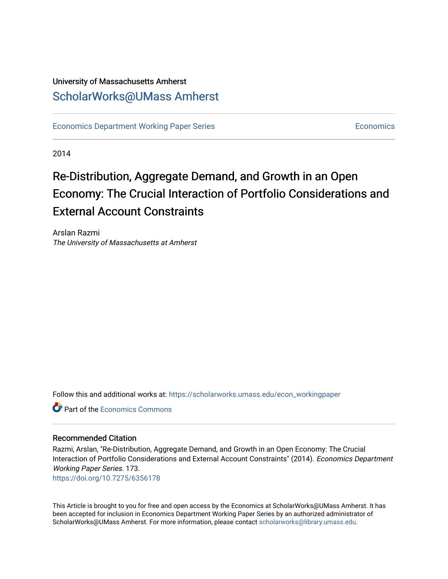## University of Massachusetts Amherst [ScholarWorks@UMass Amherst](https://scholarworks.umass.edu/)

[Economics Department Working Paper Series](https://scholarworks.umass.edu/econ_workingpaper) **Economics** [Economics](https://scholarworks.umass.edu/economics) Economics

2014

## Re-Distribution, Aggregate Demand, and Growth in an Open Economy: The Crucial Interaction of Portfolio Considerations and External Account Constraints

Arslan Razmi The University of Massachusetts at Amherst

Follow this and additional works at: [https://scholarworks.umass.edu/econ\\_workingpaper](https://scholarworks.umass.edu/econ_workingpaper?utm_source=scholarworks.umass.edu%2Fecon_workingpaper%2F173&utm_medium=PDF&utm_campaign=PDFCoverPages) 

**C** Part of the [Economics Commons](http://network.bepress.com/hgg/discipline/340?utm_source=scholarworks.umass.edu%2Fecon_workingpaper%2F173&utm_medium=PDF&utm_campaign=PDFCoverPages)

### Recommended Citation

Razmi, Arslan, "Re-Distribution, Aggregate Demand, and Growth in an Open Economy: The Crucial Interaction of Portfolio Considerations and External Account Constraints" (2014). Economics Department Working Paper Series. 173. <https://doi.org/10.7275/6356178>

This Article is brought to you for free and open access by the Economics at ScholarWorks@UMass Amherst. It has been accepted for inclusion in Economics Department Working Paper Series by an authorized administrator of ScholarWorks@UMass Amherst. For more information, please contact [scholarworks@library.umass.edu.](mailto:scholarworks@library.umass.edu)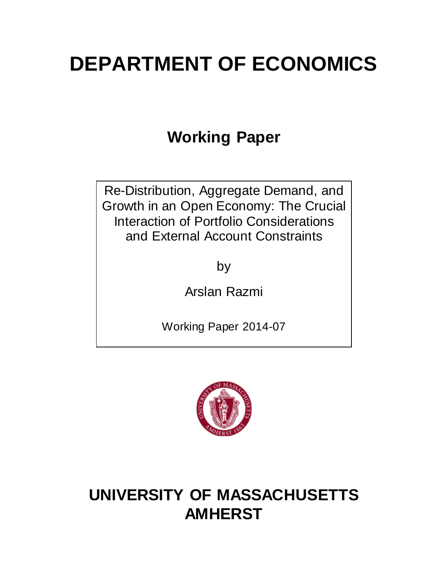# **DEPARTMENT OF ECONOMICS**

## **Working Paper**

Re-Distribution, Aggregate Demand, and Growth in an Open Economy: The Crucial Interaction of Portfolio Considerations and External Account Constraints

by

Arslan Razmi

Working Paper 2014-07



## **UNIVERSITY OF MASSACHUSETTS AMHERST**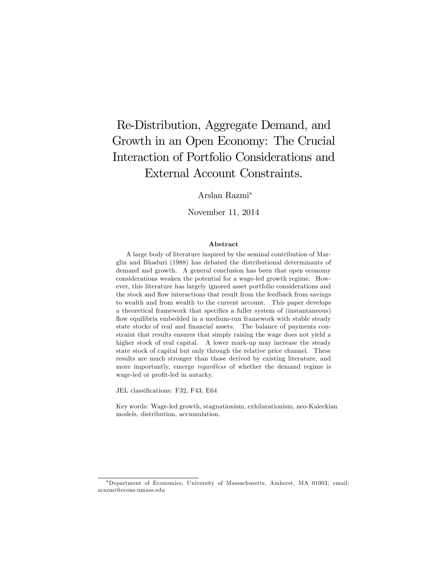## Re-Distribution, Aggregate Demand, and Growth in an Open Economy: The Crucial Interaction of Portfolio Considerations and External Account Constraints.

### Arslan Razmi

November 11, 2014

#### Abstract

A large body of literature inspired by the seminal contribution of Marglin and Bhaduri (1988) has debated the distributional determinants of demand and growth. A general conclusion has been that open economy considerations weaken the potential for a wage-led growth regime. However, this literature has largely ignored asset portfolio considerations and the stock and flow interactions that result from the feedback from savings to wealth and from wealth to the current account. This paper develops a theoretical framework that specifies a fuller system of (instantaneous) flow equilibria embedded in a medium-run framework with stable steady state stocks of real and financial assets. The balance of payments constraint that results ensures that simply raising the wage does not yield a higher stock of real capital. A lower mark-up may increase the steady state stock of capital but only through the relative price channel. These results are much stronger than those derived by existing literature, and more importantly, emerge regardless of whether the demand regime is wage-led or profit-led in autarky.

JEL classifications: F32, F43, E64

Key words: Wage-led growth, stagnationism, exhilarationism, neo-Kaleckian models, distribution, accumulation.

Department of Economics, University of Massachusetts, Amherst, MA 01003; email: arazmi@econs.umass.edu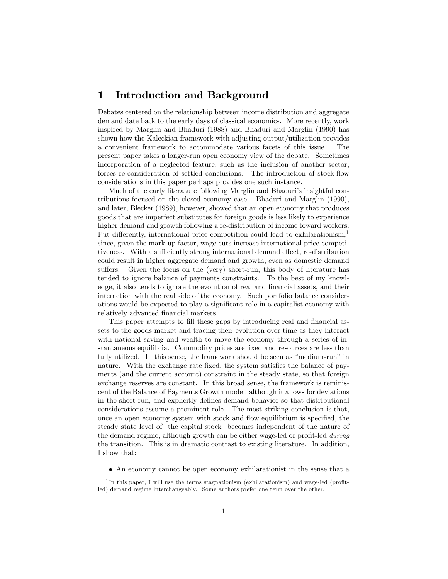## 1 Introduction and Background

Debates centered on the relationship between income distribution and aggregate demand date back to the early days of classical economics. More recently, work inspired by Marglin and Bhaduri (1988) and Bhaduri and Marglin (1990) has shown how the Kaleckian framework with adjusting output/utilization provides a convenient framework to accommodate various facets of this issue. The present paper takes a longer-run open economy view of the debate. Sometimes incorporation of a neglected feature, such as the inclusion of another sector, forces re-consideration of settled conclusions. The introduction of stock-flow considerations in this paper perhaps provides one such instance.

Much of the early literature following Marglin and Bhaduri's insightful contributions focused on the closed economy case. Bhaduri and Marglin (1990), and later, Blecker (1989), however, showed that an open economy that produces goods that are imperfect substitutes for foreign goods is less likely to experience higher demand and growth following a re-distribution of income toward workers. Put differently, international price competition could lead to exhilarationism,<sup>1</sup> since, given the mark-up factor, wage cuts increase international price competitiveness. With a sufficiently strong international demand effect, re-distribution could result in higher aggregate demand and growth, even as domestic demand suffers. Given the focus on the (very) short-run, this body of literature has tended to ignore balance of payments constraints. To the best of my knowledge, it also tends to ignore the evolution of real and financial assets, and their interaction with the real side of the economy. Such portfolio balance considerations would be expected to play a significant role in a capitalist economy with relatively advanced financial markets.

This paper attempts to fill these gaps by introducing real and financial assets to the goods market and tracing their evolution over time as they interact with national saving and wealth to move the economy through a series of instantaneous equilibria. Commodity prices are fixed and resources are less than fully utilized. In this sense, the framework should be seen as "medium-run" in nature. With the exchange rate fixed, the system satisfies the balance of payments (and the current account) constraint in the steady state, so that foreign exchange reserves are constant. In this broad sense, the framework is reminiscent of the Balance of Payments Growth model, although it allows for deviations in the short-run, and explicitly defines demand behavior so that distributional considerations assume a prominent role. The most striking conclusion is that, once an open economy system with stock and flow equilibrium is specified, the steady state level of the capital stock becomes independent of the nature of the demand regime, although growth can be either wage-led or profit-led *during* the transition. This is in dramatic contrast to existing literature. In addition, I show that:

An economy cannot be open economy exhilarationist in the sense that a

<sup>&</sup>lt;sup>1</sup>In this paper, I will use the terms stagnationism (exhilarationism) and wage-led (profitled) demand regime interchangeably. Some authors prefer one term over the other.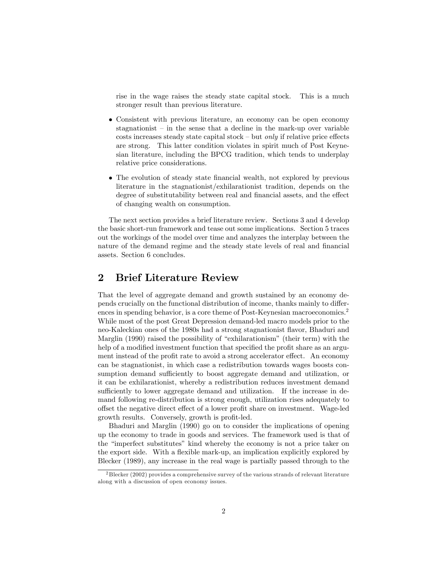rise in the wage raises the steady state capital stock. This is a much stronger result than previous literature.

- Consistent with previous literature, an economy can be open economy stagnationist  $-$  in the sense that a decline in the mark-up over variable costs increases steady state capital stock  $-$  but *only* if relative price effects are strong. This latter condition violates in spirit much of Post Keynesian literature, including the BPCG tradition, which tends to underplay relative price considerations.
- The evolution of steady state financial wealth, not explored by previous literature in the stagnationist/exhilarationist tradition, depends on the degree of substitutability between real and financial assets, and the effect of changing wealth on consumption.

The next section provides a brief literature review. Sections 3 and 4 develop the basic short-run framework and tease out some implications. Section 5 traces out the workings of the model over time and analyzes the interplay between the nature of the demand regime and the steady state levels of real and financial assets. Section 6 concludes.

## 2 Brief Literature Review

That the level of aggregate demand and growth sustained by an economy depends crucially on the functional distribution of income, thanks mainly to differences in spending behavior, is a core theme of Post-Keynesian macroeconomics.<sup>2</sup> While most of the post Great Depression demand-led macro models prior to the neo-Kaleckian ones of the 1980s had a strong stagnationist áavor, Bhaduri and Marglin  $(1990)$  raised the possibility of "exhilarationism" (their term) with the help of a modified investment function that specified the profit share as an argument instead of the profit rate to avoid a strong accelerator effect. An economy can be stagnationist, in which case a redistribution towards wages boosts consumption demand sufficiently to boost aggregate demand and utilization, or it can be exhilarationist, whereby a redistribution reduces investment demand sufficiently to lower aggregate demand and utilization. If the increase in demand following re-distribution is strong enough, utilization rises adequately to offset the negative direct effect of a lower profit share on investment. Wage-led growth results. Conversely, growth is profit-led.

Bhaduri and Marglin (1990) go on to consider the implications of opening up the economy to trade in goods and services. The framework used is that of the "imperfect substitutes" kind whereby the economy is not a price taker on the export side. With a flexible mark-up, an implication explicitly explored by Blecker (1989), any increase in the real wage is partially passed through to the

 $2B$ lecker (2002) provides a comprehensive survey of the various strands of relevant literature along with a discussion of open economy issues.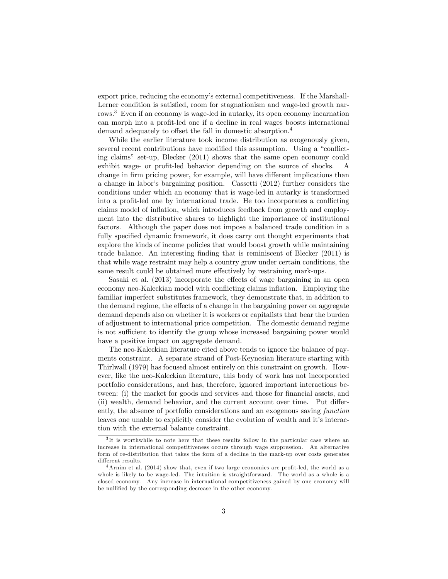export price, reducing the economy's external competitiveness. If the Marshall-Lerner condition is satisfied, room for stagnationism and wage-led growth narrows.<sup>3</sup> Even if an economy is wage-led in autarky, its open economy incarnation can morph into a profit-led one if a decline in real wages boosts international demand adequately to offset the fall in domestic absorption.<sup>4</sup>

While the earlier literature took income distribution as exogenously given, several recent contributions have modified this assumption. Using a "conflicting claims" set-up, Blecker (2011) shows that the same open economy could exhibit wage- or profit-led behavior depending on the source of shocks. A change in firm pricing power, for example, will have different implications than a change in labor's bargaining position. Cassetti  $(2012)$  further considers the conditions under which an economy that is wage-led in autarky is transformed into a profit-led one by international trade. He too incorporates a conflicting claims model of inflation, which introduces feedback from growth and employment into the distributive shares to highlight the importance of institutional factors. Although the paper does not impose a balanced trade condition in a fully specified dynamic framework, it does carry out thought experiments that explore the kinds of income policies that would boost growth while maintaining trade balance. An interesting finding that is reminiscent of Blecker (2011) is that while wage restraint may help a country grow under certain conditions, the same result could be obtained more effectively by restraining mark-ups.

Sasaki et al.  $(2013)$  incorporate the effects of wage bargaining in an open economy neo-Kaleckian model with conflicting claims inflation. Employing the familiar imperfect substitutes framework, they demonstrate that, in addition to the demand regime, the effects of a change in the bargaining power on aggregate demand depends also on whether it is workers or capitalists that bear the burden of adjustment to international price competition. The domestic demand regime is not sufficient to identify the group whose increased bargaining power would have a positive impact on aggregate demand.

The neo-Kaleckian literature cited above tends to ignore the balance of payments constraint. A separate strand of Post-Keynesian literature starting with Thirlwall (1979) has focused almost entirely on this constraint on growth. However, like the neo-Kaleckian literature, this body of work has not incorporated portfolio considerations, and has, therefore, ignored important interactions between: (i) the market for goods and services and those for financial assets, and (ii) wealth, demand behavior, and the current account over time. Put differently, the absence of portfolio considerations and an exogenous saving function leaves one unable to explicitly consider the evolution of wealth and it's interaction with the external balance constraint.

<sup>&</sup>lt;sup>3</sup>It is worthwhile to note here that these results follow in the particular case where an increase in international competitiveness occurs through wage suppression. An alternative form of re-distribution that takes the form of a decline in the mark-up over costs generates different results.

 $4$ Arnim et al. (2014) show that, even if two large economies are profit-led, the world as a whole is likely to be wage-led. The intuition is straightforward. The world as a whole is a closed economy. Any increase in international competitiveness gained by one economy will be nullified by the corresponding decrease in the other economy.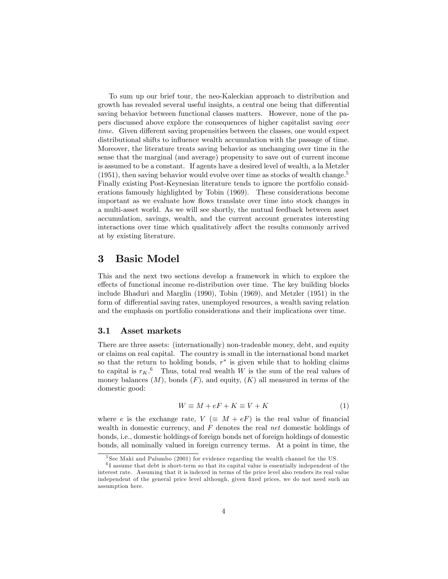To sum up our brief tour, the neo-Kaleckian approach to distribution and growth has revealed several useful insights, a central one being that differential saving behavior between functional classes matters. However, none of the papers discussed above explore the consequences of higher capitalist saving over time. Given different saving propensities between the classes, one would expect distributional shifts to influence wealth accumulation with the passage of time. Moreover, the literature treats saving behavior as unchanging over time in the sense that the marginal (and average) propensity to save out of current income is assumed to be a constant. If agents have a desired level of wealth, a la Metzler  $(1951)$ , then saving behavior would evolve over time as stocks of wealth change.<sup>5</sup> Finally existing Post-Keynesian literature tends to ignore the portfolio considerations famously highlighted by Tobin (1969). These considerations become important as we evaluate how flows translate over time into stock changes in a multi-asset world. As we will see shortly, the mutual feedback between asset accumulation, savings, wealth, and the current account generates interesting interactions over time which qualitatively affect the results commonly arrived at by existing literature.

## 3 Basic Model

This and the next two sections develop a framework in which to explore the effects of functional income re-distribution over time. The key building blocks include Bhaduri and Marglin (1990), Tobin (1969), and Metzler (1951) in the form of differential saving rates, unemployed resources, a wealth saving relation and the emphasis on portfolio considerations and their implications over time.

### 3.1 Asset markets

There are three assets: (internationally) non-tradeable money, debt, and equity or claims on real capital. The country is small in the international bond market so that the return to holding bonds,  $r^*$  is given while that to holding claims to capital is  $r_K$ .<sup>6</sup> Thus, total real wealth W is the sum of the real values of money balances  $(M)$ , bonds  $(F)$ , and equity,  $(K)$  all measured in terms of the domestic good:

$$
W \equiv M + eF + K \equiv V + K \tag{1}
$$

where e is the exchange rate,  $V \equiv M + eF$  is the real value of financial wealth in domestic currency, and  $F$  denotes the real net domestic holdings of bonds, i.e., domestic holdings of foreign bonds net of foreign holdings of domestic bonds, all nominally valued in foreign currency terms. At a point in time, the

<sup>5</sup> See Maki and Palumbo (2001) for evidence regarding the wealth channel for the US.

<sup>6</sup> I assume that debt is short-term so that its capital value is essentially independent of the interest rate. Assuming that it is indexed in terms of the price level also renders its real value independent of the general price level although, given fixed prices, we do not need such an assumption here.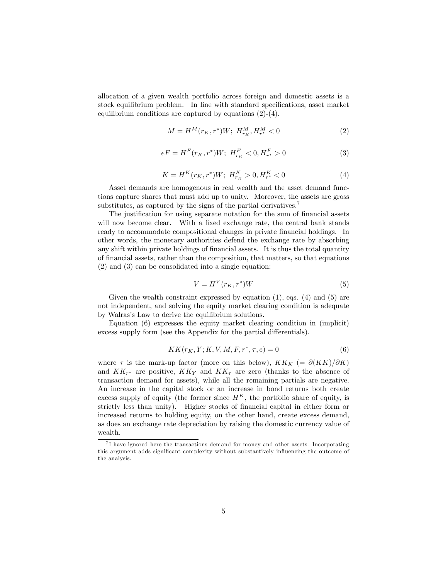allocation of a given wealth portfolio across foreign and domestic assets is a stock equilibrium problem. In line with standard specifications, asset market equilibrium conditions are captured by equations (2)-(4).

$$
M = H^M(r_K, r^*)W; H^M_{r_K}, H^M_{r^*} < 0 \tag{2}
$$

$$
eF = H^F(r_K, r^*)W; H^F_{r_K} < 0, H^F_{r^*} > 0 \tag{3}
$$

$$
K = H^K(r_K, r^*)W; \ H^K_{r_K} > 0, H^K_{r^*} < 0 \tag{4}
$$

Asset demands are homogenous in real wealth and the asset demand functions capture shares that must add up to unity. Moreover, the assets are gross substitutes, as captured by the signs of the partial derivatives.<sup>7</sup>

The justification for using separate notation for the sum of financial assets will now become clear. With a fixed exchange rate, the central bank stands ready to accommodate compositional changes in private financial holdings. In other words, the monetary authorities defend the exchange rate by absorbing any shift within private holdings of financial assets. It is thus the total quantity of Önancial assets, rather than the composition, that matters, so that equations (2) and (3) can be consolidated into a single equation:

$$
V = H^V(r_K, r^*)W\tag{5}
$$

Given the wealth constraint expressed by equation  $(1)$ , eqs.  $(4)$  and  $(5)$  are not independent, and solving the equity market clearing condition is adequate by Walras's Law to derive the equilibrium solutions.

Equation (6) expresses the equity market clearing condition in (implicit) excess supply form (see the Appendix for the partial differentials).

$$
KK(r_K, Y; K, V, M, F, r^*, \tau, e) = 0
$$
\n(6)

where  $\tau$  is the mark-up factor (more on this below),  $KK_K$  (=  $\partial (KK)/\partial K$ ) and  $KK_{r^*}$  are positive,  $KK_Y$  and  $KK_{\tau}$  are zero (thanks to the absence of transaction demand for assets), while all the remaining partials are negative. An increase in the capital stock or an increase in bond returns both create excess supply of equity (the former since  $H<sup>K</sup>$ , the portfolio share of equity, is strictly less than unity). Higher stocks of financial capital in either form or increased returns to holding equity, on the other hand, create excess demand, as does an exchange rate depreciation by raising the domestic currency value of wealth.

<sup>&</sup>lt;sup>7</sup>I have ignored here the transactions demand for money and other assets. Incorporating this argument adds significant complexity without substantively influencing the outcome of the analysis.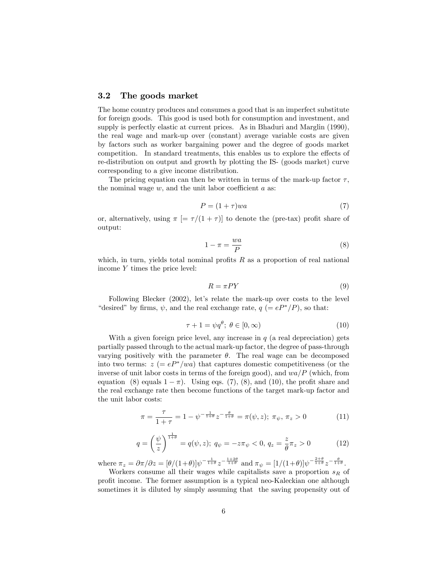#### 3.2 The goods market

The home country produces and consumes a good that is an imperfect substitute for foreign goods. This good is used both for consumption and investment, and supply is perfectly elastic at current prices. As in Bhaduri and Marglin (1990), the real wage and mark-up over (constant) average variable costs are given by factors such as worker bargaining power and the degree of goods market competition. In standard treatments, this enables us to explore the effects of re-distribution on output and growth by plotting the IS- (goods market) curve corresponding to a give income distribution.

The pricing equation can then be written in terms of the mark-up factor  $\tau$ , the nominal wage  $w$ , and the unit labor coefficient  $a$  as:

$$
P = (1 + \tau)wa \tag{7}
$$

or, alternatively, using  $\pi$  [=  $\tau/(1 + \tau)$ ] to denote the (pre-tax) profit share of output:

$$
1 - \pi = \frac{wa}{P} \tag{8}
$$

which, in turn, yields total nominal profits  $R$  as a proportion of real national income Y times the price level:

$$
R = \pi P Y \tag{9}
$$

Following Blecker  $(2002)$ , let's relate the mark-up over costs to the level "desired" by firms,  $\psi$ , and the real exchange rate,  $q (= eP^*/P)$ , so that:

$$
\tau + 1 = \psi q^{\theta}; \ \theta \in [0, \infty)
$$
\n<sup>(10)</sup>

With a given foreign price level, any increase in  $q$  (a real depreciation) gets partially passed through to the actual mark-up factor, the degree of pass-through varying positively with the parameter  $\theta$ . The real wage can be decomposed into two terms:  $z (= eP^*/wa)$  that captures domestic competitiveness (or the inverse of unit labor costs in terms of the foreign good), and  $wa/P$  (which, from equation (8) equals  $1 - \pi$ ). Using eqs. (7), (8), and (10), the profit share and the real exchange rate then become functions of the target mark-up factor and the unit labor costs:

$$
\pi = \frac{\tau}{1+\tau} = 1 - \psi^{-\frac{1}{1+\theta}} z^{-\frac{\theta}{1+\theta}} = \pi(\psi, z); \ \pi_{\psi}, \ \pi_{z} > 0 \tag{11}
$$

$$
q = \left(\frac{\psi}{z}\right)^{\frac{1}{1+\theta}} = q(\psi, z); \ q_{\psi} = -z\pi_{\psi} < 0, \ q_{z} = \frac{z}{\theta}\pi_{z} > 0 \tag{12}
$$

where  $\pi_z = \partial \pi / \partial z = [\theta/(1+\theta)] \psi^{-\frac{1}{1+\theta}} z^{-\frac{1+2\theta}{1+\theta}}$  and  $\pi_{\psi} = [1/(1+\theta)] \psi^{-\frac{2+\theta}{1+\theta}} z^{-\frac{\theta}{1+\theta}}$ .

Workers consume all their wages while capitalists save a proportion  $s_R$  of profit income. The former assumption is a typical neo-Kaleckian one although sometimes it is diluted by simply assuming that the saving propensity out of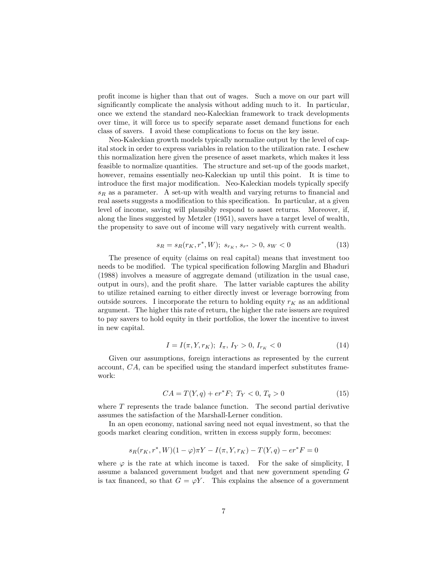proÖt income is higher than that out of wages. Such a move on our part will significantly complicate the analysis without adding much to it. In particular, once we extend the standard neo-Kaleckian framework to track developments over time, it will force us to specify separate asset demand functions for each class of savers. I avoid these complications to focus on the key issue.

Neo-Kaleckian growth models typically normalize output by the level of capital stock in order to express variables in relation to the utilization rate. I eschew this normalization here given the presence of asset markets, which makes it less feasible to normalize quantities. The structure and set-up of the goods market, however, remains essentially neo-Kaleckian up until this point. It is time to introduce the first major modification. Neo-Kaleckian models typically specify  $s_R$  as a parameter. A set-up with wealth and varying returns to financial and real assets suggests a modification to this specification. In particular, at a given level of income, saving will plausibly respond to asset returns. Moreover, if, along the lines suggested by Metzler (1951), savers have a target level of wealth, the propensity to save out of income will vary negatively with current wealth.

$$
s_R = s_R(r_K, r^*, W); \ s_{r_K}, \ s_{r^*} > 0, \ s_W < 0 \tag{13}
$$

The presence of equity (claims on real capital) means that investment too needs to be modified. The typical specification following Marglin and Bhaduri (1988) involves a measure of aggregate demand (utilization in the usual case, output in ours), and the profit share. The latter variable captures the ability to utilize retained earning to either directly invest or leverage borrowing from outside sources. I incorporate the return to holding equity  $r_K$  as an additional argument. The higher this rate of return, the higher the rate issuers are required to pay savers to hold equity in their portfolios, the lower the incentive to invest in new capital.

$$
I = I(\pi, Y, r_K); I_{\pi}, I_Y > 0, I_{r_K} < 0
$$
\n(14)

Given our assumptions, foreign interactions as represented by the current account,  $CA$ , can be specified using the standard imperfect substitutes framework:

$$
CA = T(Y, q) + er^*F; \ T_Y < 0, \ T_q > 0 \tag{15}
$$

where  $T$  represents the trade balance function. The second partial derivative assumes the satisfaction of the Marshall-Lerner condition.

In an open economy, national saving need not equal investment, so that the goods market clearing condition, written in excess supply form, becomes:

$$
s_R(r_K, r^*, W)(1 - \varphi)\pi Y - I(\pi, Y, r_K) - T(Y, q) - er^*F = 0
$$

where  $\varphi$  is the rate at which income is taxed. For the sake of simplicity, I assume a balanced government budget and that new government spending G is tax financed, so that  $G = \varphi Y$ . This explains the absence of a government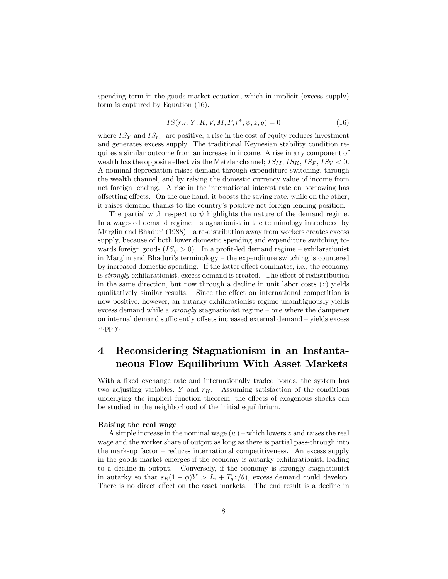spending term in the goods market equation, which in implicit (excess supply) form is captured by Equation (16).

$$
IS(r_K, Y; K, V, M, F, r^*, \psi, z, q) = 0
$$
\n(16)

where  $IS<sub>Y</sub>$  and  $IS<sub>rk</sub>$  are positive; a rise in the cost of equity reduces investment and generates excess supply. The traditional Keynesian stability condition requires a similar outcome from an increase in income. A rise in any component of wealth has the opposite effect via the Metzler channel;  $IS_M$ ,  $IS_K$ ,  $IS_F$ ,  $IS_V < 0$ . A nominal depreciation raises demand through expenditure-switching, through the wealth channel, and by raising the domestic currency value of income from net foreign lending. A rise in the international interest rate on borrowing has offsetting effects. On the one hand, it boosts the saving rate, while on the other, it raises demand thanks to the countryís positive net foreign lending position.

The partial with respect to  $\psi$  highlights the nature of the demand regime. In a wage-led demand regime  $\sim$  stagnationist in the terminology introduced by Marglin and Bhaduri  $(1988)$  – a re-distribution away from workers creates excess supply, because of both lower domestic spending and expenditure switching towards foreign goods  $(IS_{\psi} > 0)$ . In a profit-led demand regime – exhilarationist in Marglin and Bhaduri's terminology  $-\theta$  the expenditure switching is countered by increased domestic spending. If the latter effect dominates, i.e., the economy is strongly exhilarationist, excess demand is created. The effect of redistribution in the same direction, but now through a decline in unit labor costs  $(z)$  yields qualitatively similar results. Since the effect on international competition is now positive, however, an autarky exhilarationist regime unambiguously yields excess demand while a *strongly* stagnationist regime  $\sim$  one where the dampener on internal demand sufficiently offsets increased external demand  $-$  yields excess supply.

## 4 Reconsidering Stagnationism in an Instantaneous Flow Equilibrium With Asset Markets

With a fixed exchange rate and internationally traded bonds, the system has two adjusting variables, Y and  $r_K$ . Assuming satisfaction of the conditions underlying the implicit function theorem, the effects of exogenous shocks can be studied in the neighborhood of the initial equilibrium.

#### Raising the real wage

A simple increase in the nominal wage  $(w)$  – which lowers z and raises the real wage and the worker share of output as long as there is partial pass-through into the mark-up factor  $-\overline{\ }$  reduces international competitiveness. An excess supply in the goods market emerges if the economy is autarky exhilarationist, leading to a decline in output. Conversely, if the economy is strongly stagnationist in autarky so that  $s_R(1 - \phi)Y > I_{\pi} + T_qz/\theta$ , excess demand could develop. There is no direct effect on the asset markets. The end result is a decline in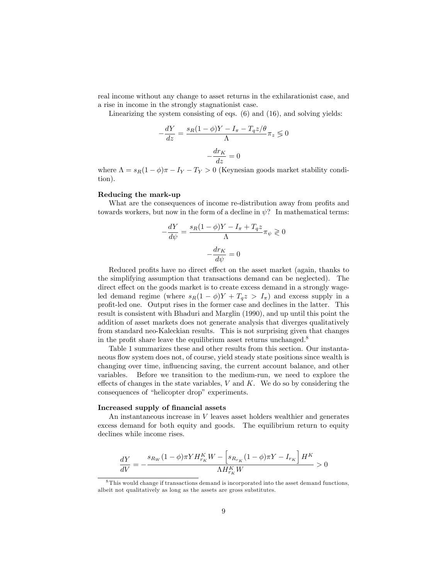real income without any change to asset returns in the exhilarationist case, and a rise in income in the strongly stagnationist case.

Linearizing the system consisting of eqs. (6) and (16), and solving yields:

$$
-\frac{dY}{dz} = \frac{s_R(1-\phi)Y - I_{\pi} - T_q z/\theta}{\Lambda} \pi_z \leq 0
$$

$$
-\frac{dr_K}{dz} = 0
$$

where  $\Lambda = s_R(1 - \phi)\pi - I_Y - T_Y > 0$  (Keynesian goods market stability condition).

#### Reducing the mark-up

What are the consequences of income re-distribution away from profits and towards workers, but now in the form of a decline in  $\psi$ ? In mathematical terms:

$$
-\frac{dY}{d\psi} = \frac{s_R(1-\phi)Y - I_{\pi} + T_q z}{\Lambda} \pi_{\psi} \geq 0
$$

$$
-\frac{dr_K}{d\psi} = 0
$$

Reduced profits have no direct effect on the asset market (again, thanks to the simplifying assumption that transactions demand can be neglected). The direct effect on the goods market is to create excess demand in a strongly wageled demand regime (where  $s_R(1 - \phi)Y + T_qz > I_\pi$ ) and excess supply in a profit-led one. Output rises in the former case and declines in the latter. This result is consistent with Bhaduri and Marglin (1990), and up until this point the addition of asset markets does not generate analysis that diverges qualitatively from standard neo-Kaleckian results. This is not surprising given that changes in the profit share leave the equilibrium asset returns unchanged.<sup>8</sup>

Table 1 summarizes these and other results from this section. Our instantaneous flow system does not, of course, yield steady state positions since wealth is changing over time, influencing saving, the current account balance, and other variables. Before we transition to the medium-run, we need to explore the effects of changes in the state variables,  $V$  and  $K$ . We do so by considering the consequences of "helicopter drop" experiments.

#### Increased supply of financial assets

An instantaneous increase in V leaves asset holders wealthier and generates excess demand for both equity and goods. The equilibrium return to equity declines while income rises.

$$
\frac{dY}{dV}=-\frac{s_{R_W}(1-\phi)\pi YH_{r_K}^KW-\left[s_{R_{r_K}}(1-\phi)\pi Y-I_{r_K}\right]H^K}{\Lambda H_{r_K}^KW}>0
$$

<sup>8</sup> This would change if transactions demand is incorporated into the asset demand functions, albeit not qualitatively as long as the assets are gross substitutes.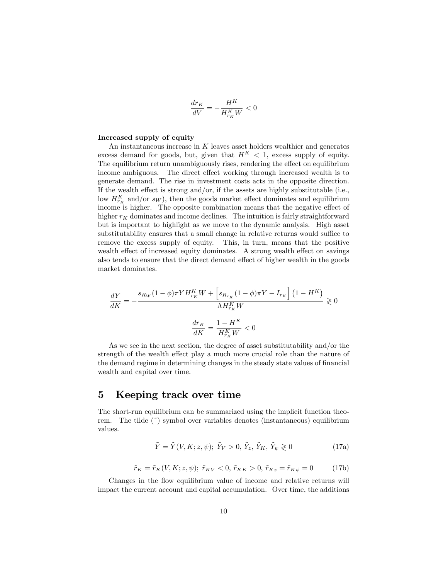$$
\frac{dr_K}{dV} = -\frac{H^K}{H^K_{r_K}W} < 0
$$

#### Increased supply of equity

An instantaneous increase in K leaves asset holders wealthier and generates excess demand for goods, but, given that  $H^{K} < 1$ , excess supply of equity. The equilibrium return unambiguously rises, rendering the effect on equilibrium income ambiguous. The direct effect working through increased wealth is to generate demand. The rise in investment costs acts in the opposite direction. If the wealth effect is strong and/or, if the assets are highly substitutable (i.e., low  $H_{r_K}^K$  and/or  $s_W$ ), then the goods market effect dominates and equilibrium income is higher. The opposite combination means that the negative effect of higher  $r_K$  dominates and income declines. The intuition is fairly straightforward but is important to highlight as we move to the dynamic analysis. High asset substitutability ensures that a small change in relative returns would suffice to remove the excess supply of equity. This, in turn, means that the positive wealth effect of increased equity dominates. A strong wealth effect on savings also tends to ensure that the direct demand effect of higher wealth in the goods market dominates.

$$
\begin{split} \frac{dY}{dK}=-\frac{s_{R_W}(1-\phi)\pi YH_{r_K}^KW+\left[s_{R_{r_K}}(1-\phi)\pi Y-I_{r_K}\right]\left(1-H^K\right)}{ \Lambda H_{r_K}^KW}<0\\ \frac{dr_K}{dK}=\frac{1-H^K}{H_{r_K}^KW}<0 \end{split}
$$

As we see in the next section, the degree of asset substitutability and/or the strength of the wealth effect play a much more crucial role than the nature of the demand regime in determining changes in the steady state values of financial wealth and capital over time.

## 5 Keeping track over time

The short-run equilibrium can be summarized using the implicit function theorem. The tilde  $(\tilde{\ })$  symbol over variables denotes (instantaneous) equilibrium values.

$$
\tilde{Y} = \tilde{Y}(V, K; z, \psi); \ \tilde{Y}_V > 0, \ \tilde{Y}_z, \ \tilde{Y}_K, \ \tilde{Y}_\psi \geq 0 \tag{17a}
$$

$$
\tilde{r}_K = \tilde{r}_K(V, K; z, \psi); \ \tilde{r}_{KV} < 0, \ \tilde{r}_{KK} > 0, \ \tilde{r}_{Kz} = \tilde{r}_{K\psi} = 0 \tag{17b}
$$

Changes in the flow equilibrium value of income and relative returns will impact the current account and capital accumulation. Over time, the additions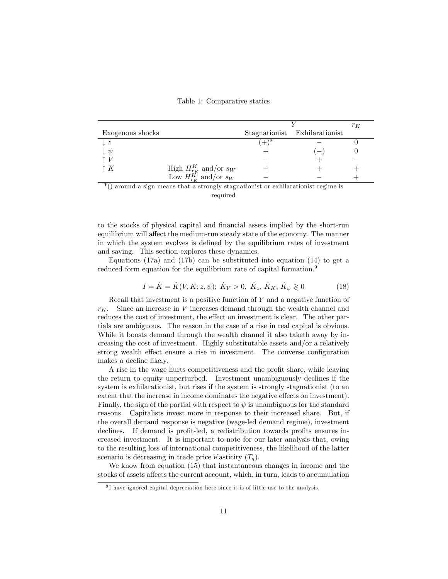|                  |                                                               |  |                               | $r_K$ |
|------------------|---------------------------------------------------------------|--|-------------------------------|-------|
| Exogenous shocks |                                                               |  | Stagnationist Exhilarationist |       |
| $\boldsymbol{z}$ |                                                               |  |                               |       |
| $\cup$           |                                                               |  |                               |       |
|                  |                                                               |  |                               |       |
| ↑K               |                                                               |  |                               |       |
|                  | High $H_{r_K}^K$ and/or $s_W$<br>Low $H_{r_K}^K$ and/or $s_W$ |  |                               |       |

Table 1: Comparative statics

\*() around a sign means that a strongly stagnationist or exhilarationist regime is required

to the stocks of physical capital and financial assets implied by the short-run equilibrium will affect the medium-run steady state of the economy. The manner in which the system evolves is defined by the equilibrium rates of investment and saving. This section explores these dynamics.

Equations (17a) and (17b) can be substituted into equation (14) to get a reduced form equation for the equilibrium rate of capital formation.<sup>9</sup>

$$
I = \dot{K} = \dot{K}(V, K; z, \psi); \ \dot{K}_V > 0, \ \dot{K}_z, \ \dot{K}_K, \ \dot{K}_\psi \geq 0 \tag{18}
$$

Recall that investment is a positive function of  $Y$  and a negative function of  $r_K$ . Since an increase in V increases demand through the wealth channel and reduces the cost of investment, the effect on investment is clear. The other partials are ambiguous. The reason in the case of a rise in real capital is obvious. While it boosts demand through the wealth channel it also taketh away by increasing the cost of investment. Highly substitutable assets and/or a relatively strong wealth effect ensure a rise in investment. The converse configuration makes a decline likely.

A rise in the wage hurts competitiveness and the profit share, while leaving the return to equity unperturbed. Investment unambiguously declines if the system is exhilarationist, but rises if the system is strongly stagnationist (to an extent that the increase in income dominates the negative effects on investment). Finally, the sign of the partial with respect to  $\psi$  is unambiguous for the standard reasons. Capitalists invest more in response to their increased share. But, if the overall demand response is negative (wage-led demand regime), investment declines. If demand is profit-led, a redistribution towards profits ensures increased investment. It is important to note for our later analysis that, owing to the resulting loss of international competitiveness, the likelihood of the latter scenario is decreasing in trade price elasticity  $(T_a)$ .

We know from equation (15) that instantaneous changes in income and the stocks of assets affects the current account, which, in turn, leads to accumulation

<sup>9</sup> I have ignored capital depreciation here since it is of little use to the analysis.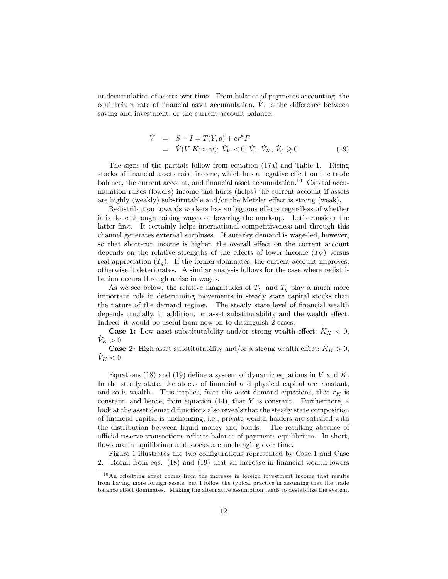or decumulation of assets over time. From balance of payments accounting, the equilibrium rate of financial asset accumulation,  $\dot{V}$ , is the difference between saving and investment, or the current account balance.

$$
\dot{V} = S - I = T(Y, q) + er^*F \n= \dot{V}(V, K; z, \psi); \dot{V}_V < 0, \dot{V}_z, \dot{V}_K, \dot{V}_\psi \ge 0
$$
\n(19)

The signs of the partials follow from equation (17a) and Table 1. Rising stocks of financial assets raise income, which has a negative effect on the trade balance, the current account, and financial asset accumulation.<sup>10</sup> Capital accumulation raises (lowers) income and hurts (helps) the current account if assets are highly (weakly) substitutable and/or the Metzler effect is strong (weak).

Redistribution towards workers has ambiguous effects regardless of whether it is done through raising wages or lowering the mark-up. Let's consider the latter first. It certainly helps international competitiveness and through this channel generates external surpluses. If autarky demand is wage-led, however, so that short-run income is higher, the overall effect on the current account depends on the relative strengths of the effects of lower income  $(T_Y)$  versus real appreciation  $(T_q)$ . If the former dominates, the current account improves, otherwise it deteriorates. A similar analysis follows for the case where redistribution occurs through a rise in wages.

As we see below, the relative magnitudes of  $T_Y$  and  $T_q$  play a much more important role in determining movements in steady state capital stocks than the nature of the demand regime. The steady state level of financial wealth depends crucially, in addition, on asset substitutability and the wealth effect. Indeed, it would be useful from now on to distinguish 2 cases:

**Case 1:** Low asset substitutability and/or strong wealth effect:  $K_K < 0$ ,  $V_K > 0$ 

**Case 2:** High asset substitutability and/or a strong wealth effect:  $K_K > 0$ ,  $\dot{V}_K < 0$ 

Equations (18) and (19) define a system of dynamic equations in V and K. In the steady state, the stocks of financial and physical capital are constant, and so is wealth. This implies, from the asset demand equations, that  $r_K$  is constant, and hence, from equation  $(14)$ , that Y is constant. Furthermore, a look at the asset demand functions also reveals that the steady state composition of financial capital is unchanging, i.e., private wealth holders are satisfied with the distribution between liquid money and bonds. The resulting absence of o¢ cial reserve transactions reáects balance of payments equilibrium. In short, flows are in equilibrium and stocks are unchanging over time.

Figure 1 illustrates the two configurations represented by Case 1 and Case 2. Recall from eqs. (18) and (19) that an increase in financial wealth lowers

 $10$ An offsetting effect comes from the increase in foreign investment income that results from having more foreign assets, but I follow the typical practice in assuming that the trade balance effect dominates. Making the alternative assumption tends to destabilize the system.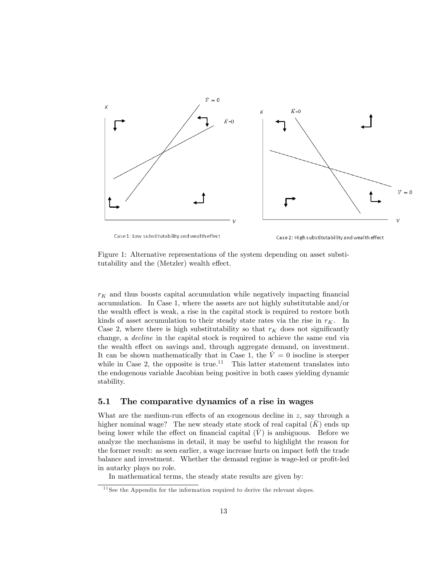

Case 1: Low substitutability and wealth effect

Case 2: High substitutability and wealth effect

Figure 1: Alternative representations of the system depending on asset substitutability and the (Metzler) wealth effect.

 $r_K$  and thus boosts capital accumulation while negatively impacting financial accumulation. In Case 1, where the assets are not highly substitutable and/or the wealth effect is weak, a rise in the capital stock is required to restore both kinds of asset accumulation to their steady state rates via the rise in  $r_K$ . In Case 2, where there is high substitutability so that  $r_K$  does not significantly change, a decline in the capital stock is required to achieve the same end via the wealth effect on savings and, through aggregate demand, on investment. It can be shown mathematically that in Case 1, the  $\dot{V} = 0$  isocline is steeper while in Case 2, the opposite is true.<sup>11</sup> This latter statement translates into the endogenous variable Jacobian being positive in both cases yielding dynamic stability.

### 5.1 The comparative dynamics of a rise in wages

What are the medium-run effects of an exogenous decline in  $z$ , say through a higher nominal wage? The new steady state stock of real capital  $(K)$  ends up being lower while the effect on financial capital  $(V)$  is ambiguous. Before we analyze the mechanisms in detail, it may be useful to highlight the reason for the former result: as seen earlier, a wage increase hurts on impact both the trade balance and investment. Whether the demand regime is wage-led or profit-led in autarky plays no role.

In mathematical terms, the steady state results are given by:

 $11$  See the Appendix for the information required to derive the relevant slopes.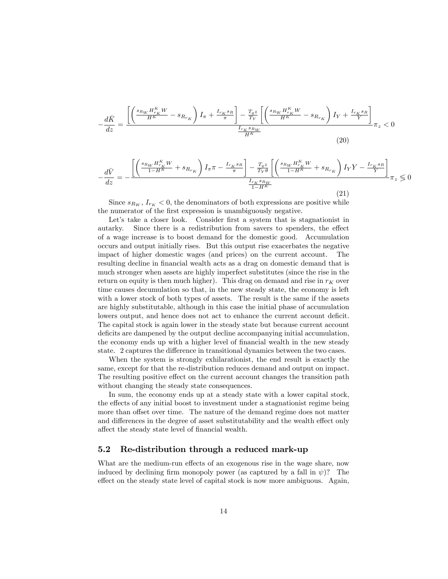$$
-\frac{d\bar{K}}{dz} = \frac{\left[ \left( \frac{s_{R_W} H_{r_K}^K W}{H^K} - s_{R_{r_K}} \right) I_{\pi} + \frac{I_{r_K} s_R}{\pi} \right] - \frac{T_q z}{T_Y} \left[ \left( \frac{s_{R_W} H_{r_K}^K W}{H^K} - s_{R_{r_K}} \right) I_Y + \frac{I_{r_K} s_R}{Y} \right]}{\frac{I_{r_K} s_{R_W}}{H^K}} \right] \pi_z < 0
$$
\n(20)

$$
-\frac{d\bar{V}}{dz} = -\frac{\left[ \left( \frac{s_{R_W} H_{r_K}^K W}{1 - H^K} + s_{R_{r_K}} \right) I_{\pi} \pi - \frac{I_{r_K} s_R}{\pi} \right] - \frac{T_q z}{T_Y \theta} \left[ \left( \frac{s_{R_W} H_{r_K}^K W}{1 - H^K} + s_{R_{r_K}} \right) I_Y Y - \frac{I_{r_K} s_R}{Y} \right]}{\frac{I_{r_K} s_{R_W}}{1 - H^K}} \pi_z \lessgtr 0
$$
\n(21)

Since  $s_{R_W}$ ,  $I_{r_K}$  < 0, the denominators of both expressions are positive while the numerator of the first expression is unambiguously negative.

Let's take a closer look. Consider first a system that is stagnationist in autarky. Since there is a redistribution from savers to spenders, the effect of a wage increase is to boost demand for the domestic good. Accumulation occurs and output initially rises. But this output rise exacerbates the negative impact of higher domestic wages (and prices) on the current account. The resulting decline in financial wealth acts as a drag on domestic demand that is much stronger when assets are highly imperfect substitutes (since the rise in the return on equity is then much higher). This drag on demand and rise in  $r_K$  over time causes decumulation so that, in the new steady state, the economy is left with a lower stock of both types of assets. The result is the same if the assets are highly substitutable, although in this case the initial phase of accumulation lowers output, and hence does not act to enhance the current account deficit. The capital stock is again lower in the steady state but because current account deficits are dampened by the output decline accompanying initial accumulation, the economy ends up with a higher level of financial wealth in the new steady state. 2 captures the difference in transitional dynamics between the two cases.

When the system is strongly exhilarationist, the end result is exactly the same, except for that the re-distribution reduces demand and output on impact. The resulting positive effect on the current account changes the transition path without changing the steady state consequences.

In sum, the economy ends up at a steady state with a lower capital stock, the effects of any initial boost to investment under a stagnationist regime being more than offset over time. The nature of the demand regime does not matter and differences in the degree of asset substitutability and the wealth effect only affect the steady state level of financial wealth.

### 5.2 Re-distribution through a reduced mark-up

What are the medium-run effects of an exogenous rise in the wage share, now induced by declining firm monopoly power (as captured by a fall in  $\psi$ )? The effect on the steady state level of capital stock is now more ambiguous. Again,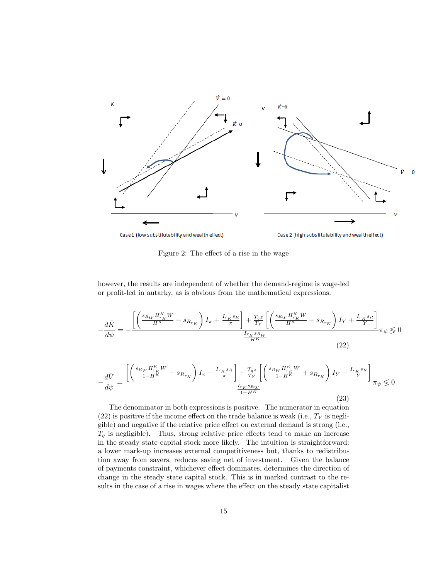

Figure 2: The effect of a rise in the wage

however, the results are independent of whether the demand-regime is wage-led or profit-led in autarky, as is obvious from the mathematical expressions.

$$
-\frac{d\bar{K}}{d\psi} = -\frac{\left[\left(\frac{s_{R_W}H_{r_K}^K W}{H^K} - s_{R_{r_K}}\right)I_{\pi} + \frac{I_{r_K}s_R}{\pi}\right] + \frac{T_{q}z}{T_Y}\left[\left(\frac{s_{R_W}H_{r_K}^K W}{H^K} - s_{R_{r_K}}\right)I_Y + \frac{I_{r_K}s_R}{Y}\right]T_{\psi} \le 0
$$
\n
$$
-\frac{\left[\left(\frac{s_{R_W}H_{r_K}^K W}{H^K} + s_R\right)I_{\pi} - \frac{I_{r_K}s_R}{H^K}\right] + \frac{T_{q}z}{T_Y}\left[\left(\frac{s_{R_W}H_{r_K}^K W}{H^K} + s_R\right)I_Y - \frac{I_{r_K}s_R}{H^K}\right]T_{\psi} \le 0
$$

$$
-\frac{d\bar{V}}{d\psi} = \frac{\left[ \left( \frac{s_{R_W} H_{r_K}^K W}{1 - H^K} + s_{R_{r_K}} \right) I_{\pi} - \frac{I_{r_K} s_R}{\pi} \right] + \frac{T_{qz}}{T_Y} \left[ \left( \frac{s_{R_W} H_{r_K}^K W}{1 - H^K} + s_{R_{r_K}} \right) I_Y - \frac{I_{r_K} s_R}{Y} \right] \right] \pi_{\psi} \le 0}{\frac{I_{r_K} s_{R_W}}{1 - H^K}} \pi_{\psi} \le 0
$$
\n(23)

The denominator in both expressions is positive. The numerator in equation  $(22)$  is positive if the income effect on the trade balance is weak (i.e.,  $T<sub>Y</sub>$  is negligible) and negative if the relative price effect on external demand is strong (i.e.,  $T_q$  is negligible). Thus, strong relative price effects tend to make an increase in the steady state capital stock more likely. The intuition is straightforward: a lower mark-up increases external competitiveness but, thanks to redistribution away from savers, reduces saving net of investment. Given the balance of payments constraint, whichever effect dominates, determines the direction of change in the steady state capital stock. This is in marked contrast to the results in the case of a rise in wages where the effect on the steady state capitalist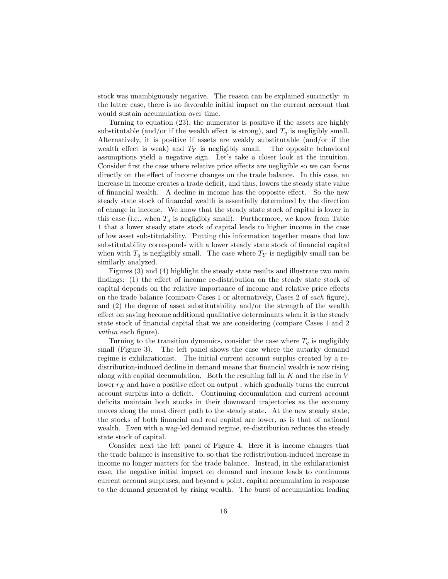stock was unambiguously negative. The reason can be explained succinctly: in the latter case, there is no favorable initial impact on the current account that would sustain accumulation over time.

Turning to equation (23), the numerator is positive if the assets are highly substitutable (and/or if the wealth effect is strong), and  $T_q$  is negligibly small. Alternatively, it is positive if assets are weakly substitutable (and/or if the wealth effect is weak) and  $T_Y$  is negligibly small. The opposite behavioral assumptions yield a negative sign. Let's take a closer look at the intuition. Consider first the case where relative price effects are negligible so we can focus directly on the effect of income changes on the trade balance. In this case, an increase in income creates a trade deficit, and thus, lowers the steady state value of financial wealth. A decline in income has the opposite effect. So the new steady state stock of financial wealth is essentially determined by the direction of change in income. We know that the steady state stock of capital is lower in this case (i.e., when  $T_q$  is negligibly small). Furthermore, we know from Table 1 that a lower steady state stock of capital leads to higher income in the case of low asset substitutability. Putting this information together means that low substitutability corresponds with a lower steady state stock of financial capital when with  $T_q$  is negligibly small. The case where  $T_Y$  is negligibly small can be similarly analyzed.

Figures (3) and (4) highlight the steady state results and illustrate two main findings:  $(1)$  the effect of income re-distribution on the steady state stock of capital depends on the relative importance of income and relative price effects on the trade balance (compare Cases 1 or alternatively, Cases 2 of each figure), and (2) the degree of asset substitutability and/or the strength of the wealth effect on saving become additional qualitative determinants when it is the steady state stock of financial capital that we are considering (compare Cases 1 and 2) within each figure).

Turning to the transition dynamics, consider the case where  $T_q$  is negligibly small (Figure 3). The left panel shows the case where the autarky demand regime is exhilarationist. The initial current account surplus created by a redistribution-induced decline in demand means that financial wealth is now rising along with capital decumulation. Both the resulting fall in  $K$  and the rise in  $V$ lower  $r_K$  and have a positive effect on output , which gradually turns the current account surplus into a deficit. Continuing decumulation and current account deficits maintain both stocks in their downward trajectories as the economy moves along the most direct path to the steady state. At the new steady state, the stocks of both Önancial and real capital are lower, as is that of national wealth. Even with a wag-led demand regime, re-distribution reduces the steady state stock of capital.

Consider next the left panel of Figure 4. Here it is income changes that the trade balance is insensitive to, so that the redistribution-induced increase in income no longer matters for the trade balance. Instead, in the exhilarationist case, the negative initial impact on demand and income leads to continuous current account surpluses, and beyond a point, capital accumulation in response to the demand generated by rising wealth. The burst of accumulation leading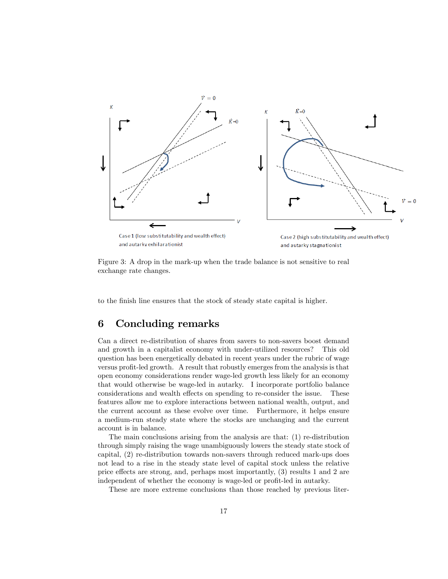

Figure 3: A drop in the mark-up when the trade balance is not sensitive to real exchange rate changes.

to the Önish line ensures that the stock of steady state capital is higher.

## 6 Concluding remarks

Can a direct re-distribution of shares from savers to non-savers boost demand and growth in a capitalist economy with under-utilized resources? This old question has been energetically debated in recent years under the rubric of wage versus proÖt-led growth. A result that robustly emerges from the analysis is that open economy considerations render wage-led growth less likely for an economy that would otherwise be wage-led in autarky. I incorporate portfolio balance considerations and wealth effects on spending to re-consider the issue. These features allow me to explore interactions between national wealth, output, and the current account as these evolve over time. Furthermore, it helps ensure a medium-run steady state where the stocks are unchanging and the current account is in balance.

The main conclusions arising from the analysis are that: (1) re-distribution through simply raising the wage unambiguously lowers the steady state stock of capital, (2) re-distribution towards non-savers through reduced mark-ups does not lead to a rise in the steady state level of capital stock unless the relative price effects are strong, and, perhaps most importantly,  $(3)$  results 1 and 2 are independent of whether the economy is wage-led or profit-led in autarky.

These are more extreme conclusions than those reached by previous liter-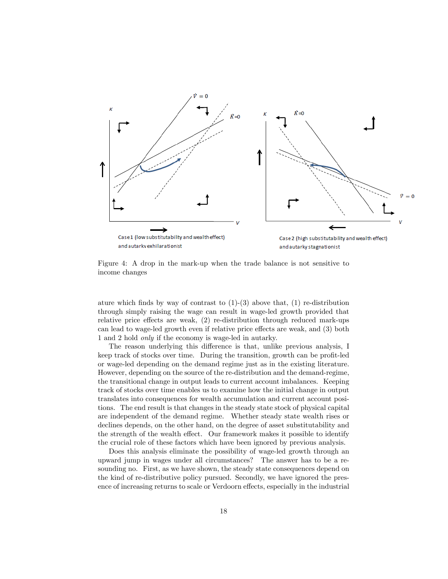

Figure 4: A drop in the mark-up when the trade balance is not sensitive to income changes

ature which finds by way of contrast to  $(1)-(3)$  above that,  $(1)$  re-distribution through simply raising the wage can result in wage-led growth provided that relative price effects are weak,  $(2)$  re-distribution through reduced mark-ups can lead to wage-led growth even if relative price effects are weak, and  $(3)$  both 1 and 2 hold only if the economy is wage-led in autarky.

The reason underlying this difference is that, unlike previous analysis, I keep track of stocks over time. During the transition, growth can be profit-led or wage-led depending on the demand regime just as in the existing literature. However, depending on the source of the re-distribution and the demand-regime, the transitional change in output leads to current account imbalances. Keeping track of stocks over time enables us to examine how the initial change in output translates into consequences for wealth accumulation and current account positions. The end result is that changes in the steady state stock of physical capital are independent of the demand regime. Whether steady state wealth rises or declines depends, on the other hand, on the degree of asset substitutability and the strength of the wealth effect. Our framework makes it possible to identify the crucial role of these factors which have been ignored by previous analysis.

Does this analysis eliminate the possibility of wage-led growth through an upward jump in wages under all circumstances? The answer has to be a resounding no. First, as we have shown, the steady state consequences depend on the kind of re-distributive policy pursued. Secondly, we have ignored the presence of increasing returns to scale or Verdoorn effects, especially in the industrial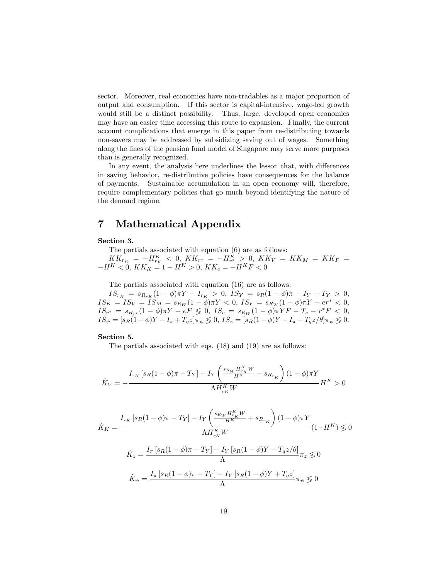sector. Moreover, real economies have non-tradables as a major proportion of output and consumption. If this sector is capital-intensive, wage-led growth would still be a distinct possibility. Thus, large, developed open economies may have an easier time accessing this route to expansion. Finally, the current account complications that emerge in this paper from re-distributing towards non-savers may be addressed by subsidizing saving out of wages. Something along the lines of the pension fund model of Singapore may serve more purposes than is generally recognized.

In any event, the analysis here underlines the lesson that, with differences in saving behavior, re-distributive policies have consequences for the balance of payments. Sustainable accumulation in an open economy will, therefore, require complementary policies that go much beyond identifying the nature of the demand regime.

## 7 Mathematical Appendix

#### Section 3.

The partials associated with equation (6) are as follows:  $KK_{r_K} = -H_{r_K}^K < 0, KK_{r^*} = -H_{r^*}^K > 0, KK_V = KK_M = KK_F =$  $-H^K < 0, KK_K = 1 - H^K > 0, KK_e = -H^K F < 0$ 

The partials associated with equation (16) are as follows:

 $IS_{r_K} = s_{R_{rK}}(1 - \phi)\pi Y - I_{r_K} > 0, IS_Y = s_R(1 - \phi)\pi - I_Y - T_Y > 0,$  $IS_K = IS_V = IS_M = s_{R_W}(1 - \phi)\pi Y < 0, IS_F = s_{R_W}(1 - \phi)\pi Y - er^* < 0,$  $IS_{r^*} = s_{R_{r^*}}(1 - \phi)\pi Y - eF \leq 0, \ IS_e = s_{R_W}(1 - \phi)\pi YF - T_e - r^*F < 0,$  $IS_{\psi} = [s_R(1 - \phi)Y - I_{\pi} + T_qz]\pi_{\psi} \lessgtr 0, IS_z = [s_R(1 - \phi)Y - I_{\pi} - T_qz/\theta]\pi_{\psi} \lessgtr 0.$ 

#### Section 5.

The partials associated with eqs. (18) and (19) are as follows:

$$
\dot{K}_V = -\frac{I_{\scriptscriptstyle rK}\left[s_R(1-\phi)\pi-T_Y\right]+I_Y\left(\frac{s_{R_W}H_{\scriptscriptstyle rK}^K W}{H^K}-s_{R_{\scriptscriptstyle rK}}\right)(1-\phi)\pi Y}{\Lambda H_{\scriptscriptstyle rK}^K W}H^K>0
$$

$$
\begin{split} \dot{K}_K = \frac{I_{_{rK}}\left[s_R(1-\phi)\pi - T_Y\right] - I_Y\left(\frac{s_{R_W}H_{_{r_K}}^K W}{H^K} + s_{R_{r_K}}\right)(1-\phi)\pi Y}{\Lambda H_{_{rK}}^K W} \\ \dot{K}_z = \frac{I_{\pi}\left[s_R(1-\phi)\pi - T_Y\right] - I_Y\left[s_R(1-\phi)Y - T_qz/\theta\right]}{\Lambda}\pi_z \lessgtr 0 \\ \dot{K}_\psi = \frac{I_{\pi}\left[s_R(1-\phi)\pi - T_Y\right] - I_Y\left[s_R(1-\phi)Y + T_qz\right]}{\Lambda}\pi_\psi \lessgtr 0 \end{split}
$$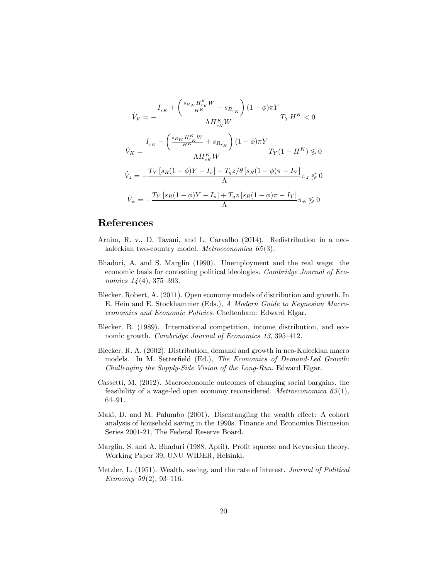$$
\dot{V}_V = -\frac{I_{rK} + \left(\frac{s_{R_W}H_{r_K}^K W}{H^K} - s_{R_{r_K}}\right)(1-\phi)\pi Y}{\Lambda H_{rK}^K W} T_Y H^K < 0
$$
\n
$$
\dot{V}_K = \frac{I_{rK} - \left(\frac{s_{R_W}H_{r_K}^K W}{H^K} + s_{R_{r_K}}\right)(1-\phi)\pi Y}{\Lambda H_{rK}^K W} T_Y (1 - H^K) \leq 0
$$
\n
$$
\dot{V}_z = -\frac{T_Y \left[s_R(1-\phi)Y - I_\pi\right] - T_q z/\theta \left[s_R(1-\phi)\pi - I_Y\right]}{\Lambda} \pi_z \leq 0
$$
\n
$$
\dot{V}_\psi = -\frac{T_Y \left[s_R(1-\phi)Y - I_\pi\right] + T_q z \left[s_R(1-\phi)\pi - I_Y\right]}{\Lambda} \pi_\psi \leq 0
$$

## References

- Arnim, R. v., D. Tavani, and L. Carvalho (2014). Redistribution in a neokaleckian two-country model. *Metroeconomica*  $65(3)$ .
- Bhaduri, A. and S. Marglin (1990). Unemployment and the real wage: the economic basis for contesting political ideologies. Cambridge Journal of Economics  $14(4)$ , 375–393.
- Blecker, Robert, A. (2011). Open economy models of distribution and growth. In E. Hein and E. Stockhammer (Eds.), A Modern Guide to Keynesian Macroeconomics and Economic Policies. Cheltenham: Edward Elgar.
- Blecker, R. (1989). International competition, income distribution, and economic growth. Cambridge Journal of Economics 13, 395-412.
- Blecker, R. A. (2002). Distribution, demand and growth in neo-Kaleckian macro models. In M. Setterfield (Ed.), The Economics of Demand-Led Growth: Challenging the Supply-Side Vision of the Long-Run. Edward Elgar.
- Cassetti, M. (2012). Macroeconomic outcomes of changing social bargains. the feasibility of a wage-led open economy reconsidered. *Metroeconomica*  $63(1)$ , 64-91.
- Maki, D. and M. Palumbo  $(2001)$ . Disentangling the wealth effect: A cohort analysis of household saving in the 1990s. Finance and Economics Discussion Series 2001-21, The Federal Reserve Board.
- Marglin, S. and A. Bhaduri (1988, April). Profit squeeze and Keynesian theory. Working Paper 39, UNU WIDER, Helsinki.
- Metzler, L. (1951). Wealth, saving, and the rate of interest. Journal of Political Economy 59(2), 93-116.